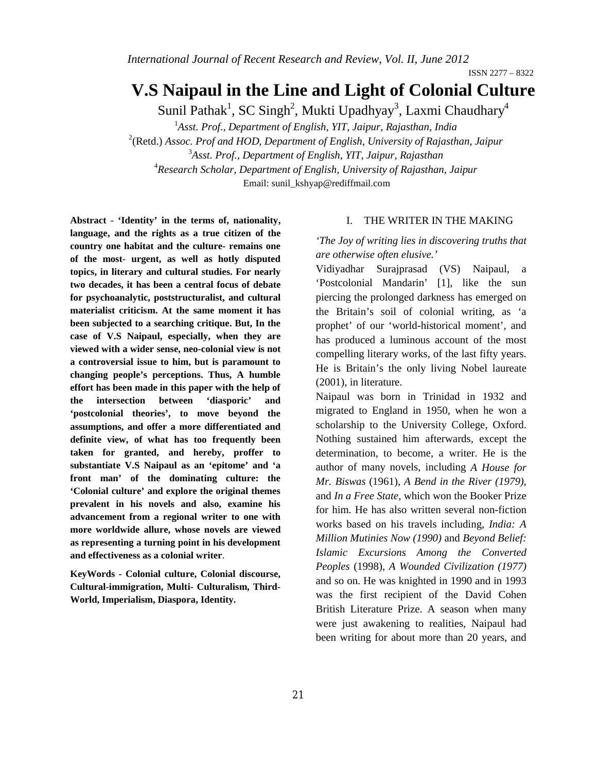# **V.S Naipaul in the Line and Light of Colonial Culture**

Sunil Pathak<sup>1</sup>, SC Singh<sup>2</sup>, Mukti Upadhyay<sup>3</sup>, Laxmi Chaudhary<sup>4</sup>

1 *Asst. Prof., Department of English, YIT, Jaipur, Rajasthan, India*

2 (Retd.) *Assoc. Prof and HOD, Department of English, University of Rajasthan, Jaipur* 3 *Asst. Prof., Department of English, YIT, Jaipur, Rajasthan*

4 *Research Scholar, Department of English, University of Rajasthan, Jaipur* Email: sunil\_kshyap@rediffmail.com

**Abstract - 'Identity' in the terms of, nationality, language, and the rights as a true citizen of the country one habitat and the culture- remains one of the most- urgent, as well as hotly disputed topics, in literary and cultural studies. For nearly two decades, it has been a central focus of debate for psychoanalytic, poststructuralist, and cultural materialist criticism. At the same moment it has been subjected to a searching critique. But, In the case of V.S Naipaul, especially, when they are viewed with a wider sense, neo-colonial view is not a controversial issue to him, but is paramount to changing people's perceptions. Thus, A humble effort has been made in this paper with the help of the intersection between 'diasporic' and 'postcolonial theories', to move beyond the assumptions, and offer a more differentiated and definite view, of what has too frequently been taken for granted, and hereby, proffer to substantiate V.S Naipaul as an 'epitome' and 'a front man' of the dominating culture: the 'Colonial culture' and explore the original themes prevalent in his novels and also, examine his advancement from a regional writer to one with more worldwide allure, whose novels are viewed as representing a turning point in his development and effectiveness as a colonial writer**.

**KeyWords** *-* **Colonial culture, Colonial discourse, Cultural-immigration, Multi- Culturalism, Third-World, Imperialism, Diaspora, Identity.**

### I. THE WRITER IN THE MAKING

*'The Joy of writing lies in discovering truths that are otherwise often elusive.'*

Vidiyadhar Surajprasad (VS) Naipaul, a 'Postcolonial Mandarin' [1], like the sun piercing the prolonged darkness has emerged on the Britain's soil of colonial writing, as 'a prophet' of our 'world-historical moment', and has produced a luminous account of the most compelling literary works, of the last fifty years. He is Britain's the only living Nobel laureate (2001), in literature.

Naipaul was born in Trinidad in 1932 and migrated to England in 1950, when he won a scholarship to the University College, Oxford. Nothing sustained him afterwards, except the determination, to become, a writer. He is the author of many novels, including *A House for Mr. Biswas* (1961), *A Bend in the River (1979)*, and *In a Free State*, which won the Booker Prize for him. He has also written several non-fiction works based on his travels including, *India: A Million Mutinies Now (1990)* and *Beyond Belief: Islamic Excursions Among the Converted Peoples* (1998), *A Wounded Civilization (1977)*  and so on. He was knighted in 1990 and in 1993 was the first recipient of the David Cohen British Literature Prize. A season when many were just awakening to realities, Naipaul had been writing for about more than 20 years, and

ISSN 2277 – 8322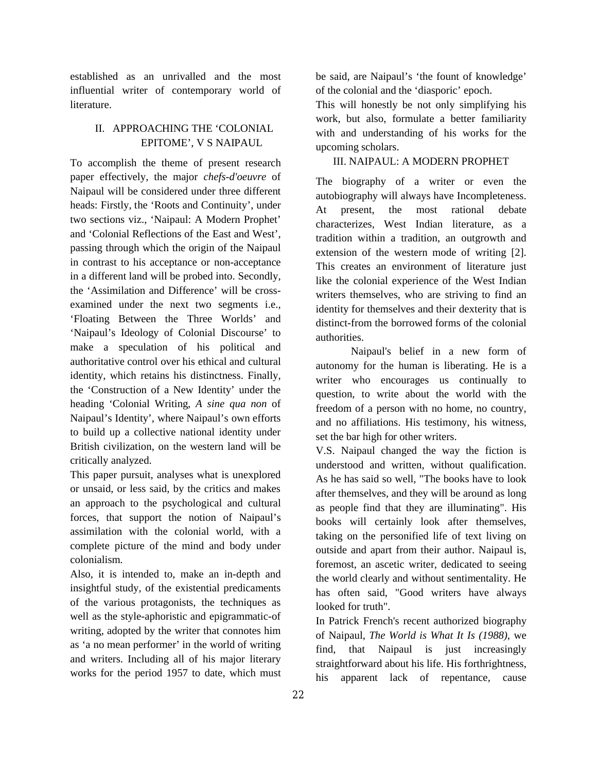established as an unrivalled and the most influential writer of contemporary world of literature.

## II. APPROACHING THE 'COLONIAL EPITOME', V S NAIPAUL

To accomplish the theme of present research paper effectively, the major *chefs-d'oeuvre* of Naipaul will be considered under three different heads: Firstly, the 'Roots and Continuity', under two sections viz., 'Naipaul: A Modern Prophet' and 'Colonial Reflections of the East and West', passing through which the origin of the Naipaul in contrast to his acceptance or non-acceptance in a different land will be probed into. Secondly, the 'Assimilation and Difference' will be crossexamined under the next two segments i.e., 'Floating Between the Three Worlds' and 'Naipaul's Ideology of Colonial Discourse' to make a speculation of his political and authoritative control over his ethical and cultural identity, which retains his distinctness. Finally, the 'Construction of a New Identity' under the heading 'Colonial Writing, *A sine qua non* of Naipaul's Identity', where Naipaul's own efforts to build up a collective national identity under British civilization, on the western land will be critically analyzed.

This paper pursuit, analyses what is unexplored or unsaid, or less said, by the critics and makes an approach to the psychological and cultural forces, that support the notion of Naipaul's assimilation with the colonial world, with a complete picture of the mind and body under colonialism.

Also, it is intended to, make an in-depth and insightful study, of the existential predicaments of the various protagonists, the techniques as well as the style-aphoristic and epigrammatic-of writing, adopted by the writer that connotes him as 'a no mean performer' in the world of writing and writers. Including all of his major literary works for the period 1957 to date, which must

be said, are Naipaul's 'the fount of knowledge' of the colonial and the 'diasporic' epoch.

This will honestly be not only simplifying his work, but also, formulate a better familiarity with and understanding of his works for the upcoming scholars.

### III. NAIPAUL: A MODERN PROPHET

The biography of a writer or even the autobiography will always have Incompleteness. At present, the most rational debate characterizes, West Indian literature, as a tradition within a tradition, an outgrowth and extension of the western mode of writing [2]. This creates an environment of literature just like the colonial experience of the West Indian writers themselves, who are striving to find an identity for themselves and their dexterity that is distinct-from the borrowed forms of the colonial authorities.

Naipaul's belief in a new form of autonomy for the human is liberating. He is a writer who encourages us continually to question, to write about the world with the freedom of a person with no home, no country, and no affiliations. His testimony, his witness, set the bar high for other writers.

V.S. Naipaul changed the way the fiction is understood and written, without qualification. As he has said so well, "The books have to look after themselves, and they will be around as long as people find that they are illuminating". His books will certainly look after themselves, taking on the personified life of text living on outside and apart from their author. Naipaul is, foremost, an ascetic writer, dedicated to seeing the world clearly and without sentimentality. He has often said, "Good writers have always looked for truth".

In Patrick French's recent authorized biography of Naipaul, *The World is What It Is (1988)*, we find, that Naipaul is just increasingly straightforward about his life. His forthrightness, his apparent lack of repentance, cause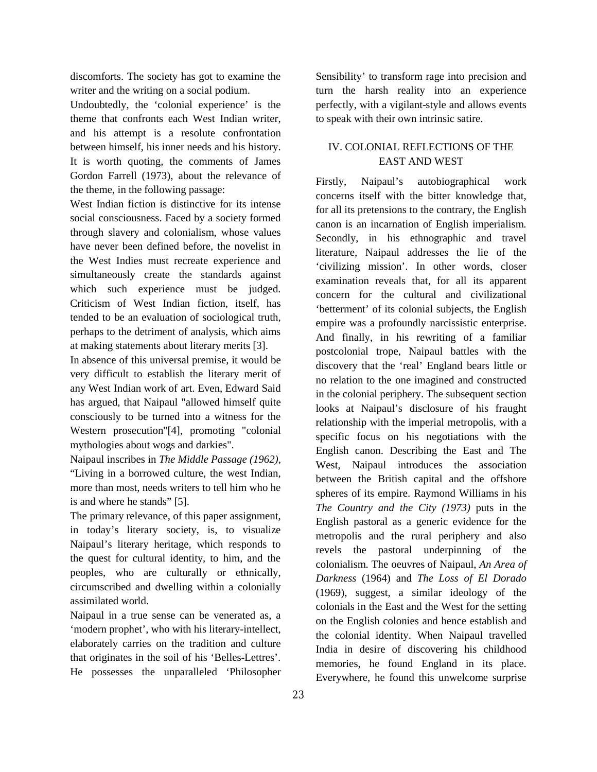discomforts. The society has got to examine the writer and the writing on a social podium.

Undoubtedly, the 'colonial experience' is the theme that confronts each West Indian writer, and his attempt is a resolute confrontation between himself, his inner needs and his history. It is worth quoting, the comments of James Gordon Farrell (1973), about the relevance of the theme, in the following passage:

West Indian fiction is distinctive for its intense social consciousness. Faced by a society formed through slavery and colonialism, whose values have never been defined before, the novelist in the West Indies must recreate experience and simultaneously create the standards against which such experience must be judged. Criticism of West Indian fiction, itself, has tended to be an evaluation of sociological truth, perhaps to the detriment of analysis, which aims at making statements about literary merits [3].

In absence of this universal premise, it would be very difficult to establish the literary merit of any West Indian work of art. Even, Edward Said has argued, that Naipaul "allowed himself quite consciously to be turned into a witness for the Western prosecution"[4], promoting "colonial mythologies about wogs and darkies".

Naipaul inscribes in *The Middle Passage (1962),*  "Living in a borrowed culture, the west Indian, more than most, needs writers to tell him who he is and where he stands" [5].

The primary relevance, of this paper assignment, in today's literary society, is, to visualize Naipaul's literary heritage, which responds to the quest for cultural identity, to him, and the peoples, who are culturally or ethnically, circumscribed and dwelling within a colonially assimilated world.

Naipaul in a true sense can be venerated as, a 'modern prophet', who with his literary-intellect, elaborately carries on the tradition and culture that originates in the soil of his 'Belles-Lettres'. He possesses the unparalleled 'Philosopher

Sensibility' to transform rage into precision and turn the harsh reality into an experience perfectly, with a vigilant-style and allows events to speak with their own intrinsic satire.

### IV. COLONIAL REFLECTIONS OF THE EAST AND WEST

Firstly, Naipaul's autobiographical work concerns itself with the bitter knowledge that, for all its pretensions to the contrary, the English canon is an incarnation of English imperialism. Secondly, in his ethnographic and travel literature, Naipaul addresses the lie of the 'civilizing mission'. In other words, closer examination reveals that, for all its apparent concern for the cultural and civilizational 'betterment' of its colonial subjects, the English empire was a profoundly narcissistic enterprise. And finally, in his rewriting of a familiar postcolonial trope, Naipaul battles with the discovery that the 'real' England bears little or no relation to the one imagined and constructed in the colonial periphery. The subsequent section looks at Naipaul's disclosure of his fraught relationship with the imperial metropolis, with a specific focus on his negotiations with the English canon. Describing the East and The West, Naipaul introduces the association between the British capital and the offshore spheres of its empire. Raymond Williams in his *The Country and the City (1973)* puts in the English pastoral as a generic evidence for the metropolis and the rural periphery and also revels the pastoral underpinning of the colonialism. The oeuvres of Naipaul, *An Area of Darkness* (1964) and *The Loss of El Dorado* (1969), suggest, a similar ideology of the colonials in the East and the West for the setting on the English colonies and hence establish and the colonial identity. When Naipaul travelled India in desire of discovering his childhood memories, he found England in its place. Everywhere, he found this unwelcome surprise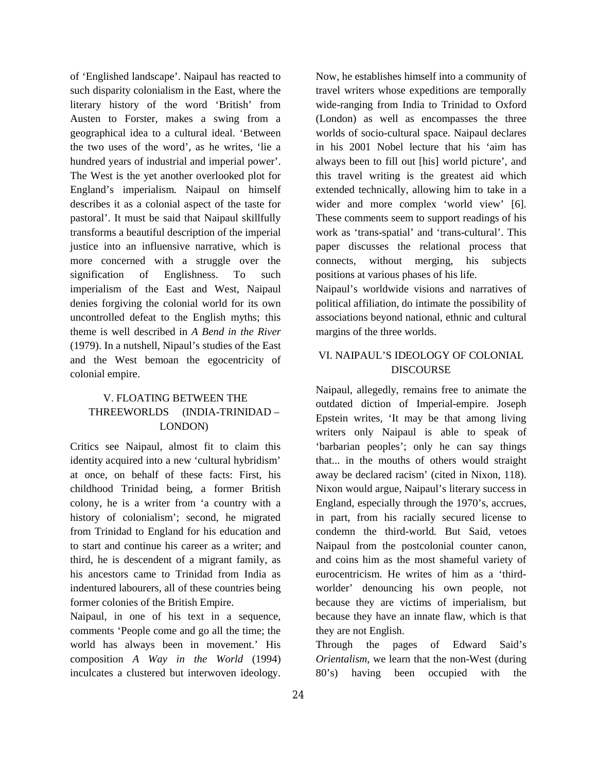of 'Englished landscape'. Naipaul has reacted to such disparity colonialism in the East, where the literary history of the word 'British' from Austen to Forster, makes a swing from a geographical idea to a cultural ideal. 'Between the two uses of the word', as he writes, 'lie a hundred years of industrial and imperial power'. The West is the yet another overlooked plot for England's imperialism. Naipaul on himself describes it as a colonial aspect of the taste for pastoral'. It must be said that Naipaul skillfully transforms a beautiful description of the imperial justice into an influensive narrative, which is more concerned with a struggle over the signification of Englishness. To such imperialism of the East and West, Naipaul denies forgiving the colonial world for its own uncontrolled defeat to the English myths; this theme is well described in *A Bend in the River* (1979). In a nutshell, Nipaul's studies of the East and the West bemoan the egocentricity of colonial empire.

# V. FLOATING BETWEEN THE THREEWORLDS (INDIA-TRINIDAD – LONDON)

Critics see Naipaul, almost fit to claim this identity acquired into a new 'cultural hybridism' at once, on behalf of these facts: First, his childhood Trinidad being, a former British colony, he is a writer from 'a country with a history of colonialism'; second, he migrated from Trinidad to England for his education and to start and continue his career as a writer; and third, he is descendent of a migrant family, as his ancestors came to Trinidad from India as indentured labourers, all of these countries being former colonies of the British Empire.

Naipaul, in one of his text in a sequence, comments 'People come and go all the time; the world has always been in movement.' His composition *A Way in the World* (1994) inculcates a clustered but interwoven ideology.

Now, he establishes himself into a community of travel writers whose expeditions are temporally wide-ranging from India to Trinidad to Oxford (London) as well as encompasses the three worlds of socio-cultural space. Naipaul declares in his 2001 Nobel lecture that his 'aim has always been to fill out [his] world picture', and this travel writing is the greatest aid which extended technically, allowing him to take in a wider and more complex 'world view' [6]. These comments seem to support readings of his work as 'trans-spatial' and 'trans-cultural'. This paper discusses the relational process that connects, without merging, his subjects positions at various phases of his life.

Naipaul's worldwide visions and narratives of political affiliation, do intimate the possibility of associations beyond national, ethnic and cultural margins of the three worlds.

# VI. NAIPAUL'S IDEOLOGY OF COLONIAL DISCOURSE

Naipaul, allegedly, remains free to animate the outdated diction of Imperial-empire. Joseph Epstein writes, 'It may be that among living writers only Naipaul is able to speak of 'barbarian peoples'; only he can say things that... in the mouths of others would straight away be declared racism' (cited in Nixon, 118). Nixon would argue, Naipaul's literary success in England, especially through the 1970's, accrues, in part, from his racially secured license to condemn the third-world. But Said, vetoes Naipaul from the postcolonial counter canon, and coins him as the most shameful variety of eurocentricism. He writes of him as a 'thirdworlder' denouncing his own people, not because they are victims of imperialism, but because they have an innate flaw, which is that they are not English.

Through the pages of Edward Said's *Orientalism*, we learn that the non-West (during 80's) having been occupied with the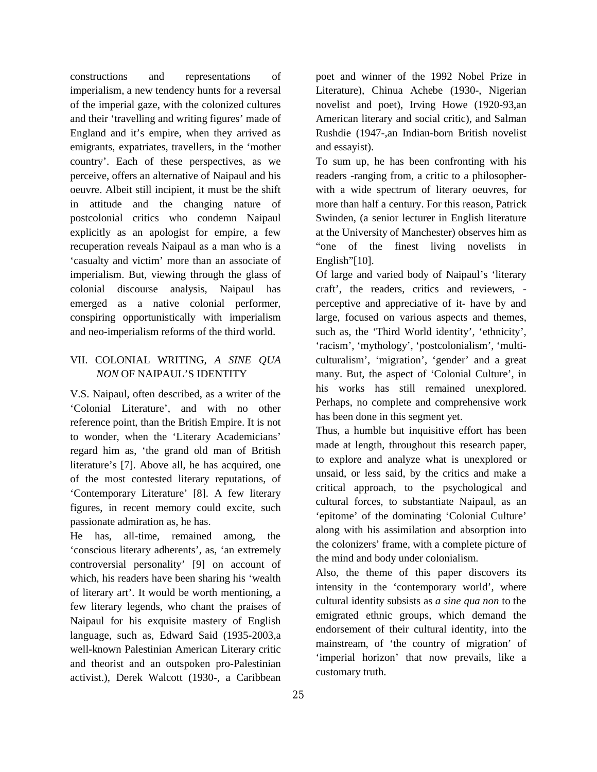constructions and representations of imperialism, a new tendency hunts for a reversal of the imperial gaze, with the colonized cultures and their 'travelling and writing figures' made of England and it's empire, when they arrived as emigrants, expatriates, travellers, in the 'mother country'. Each of these perspectives, as we perceive, offers an alternative of Naipaul and his oeuvre. Albeit still incipient, it must be the shift in attitude and the changing nature of postcolonial critics who condemn Naipaul explicitly as an apologist for empire, a few recuperation reveals Naipaul as a man who is a 'casualty and victim' more than an associate of imperialism. But, viewing through the glass of colonial discourse analysis, Naipaul has emerged as a native colonial performer, conspiring opportunistically with imperialism and neo-imperialism reforms of the third world.

# VII. COLONIAL WRITING, *A SINE QUA NON* OF NAIPAUL'S IDENTITY

V.S. Naipaul, often described, as a writer of the 'Colonial Literature', and with no other reference point, than the British Empire. It is not to wonder, when the 'Literary Academicians' regard him as, 'the grand old man of British literature's [7]. Above all, he has acquired, one of the most contested literary reputations, of 'Contemporary Literature' [8]. A few literary figures, in recent memory could excite, such passionate admiration as, he has.

He has, all-time, remained among, the 'conscious literary adherents', as, 'an extremely controversial personality' [9] on account of which, his readers have been sharing his 'wealth of literary art'. It would be worth mentioning, a few literary legends, who chant the praises of Naipaul for his exquisite mastery of English language, such as, Edward Said (1935-2003,a well-known Palestinian American Literary critic and theorist and an outspoken pro-Palestinian activist.), Derek Walcott (1930-, a Caribbean

poet and winner of the 1992 Nobel Prize in Literature), Chinua Achebe (1930-, Nigerian novelist and poet), Irving Howe (1920-93,an American literary and social critic), and Salman Rushdie (1947-,an Indian-born British novelist and essayist).

To sum up, he has been confronting with his readers -ranging from, a critic to a philosopherwith a wide spectrum of literary oeuvres, for more than half a century. For this reason, Patrick Swinden, (a senior lecturer in English literature at the University of Manchester) observes him as "one of the finest living novelists in English"[10].

Of large and varied body of Naipaul's 'literary craft', the readers, critics and reviewers, perceptive and appreciative of it- have by and large, focused on various aspects and themes, such as, the 'Third World identity', 'ethnicity', 'racism', 'mythology', 'postcolonialism', 'multiculturalism', 'migration', 'gender' and a great many. But, the aspect of 'Colonial Culture', in his works has still remained unexplored. Perhaps, no complete and comprehensive work has been done in this segment yet.

Thus, a humble but inquisitive effort has been made at length, throughout this research paper, to explore and analyze what is unexplored or unsaid, or less said, by the critics and make a critical approach, to the psychological and cultural forces, to substantiate Naipaul, as an 'epitome' of the dominating 'Colonial Culture' along with his assimilation and absorption into the colonizers' frame, with a complete picture of the mind and body under colonialism.

Also, the theme of this paper discovers its intensity in the 'contemporary world', where cultural identity subsists as *a sine qua non* to the emigrated ethnic groups, which demand the endorsement of their cultural identity, into the mainstream, of 'the country of migration' of 'imperial horizon' that now prevails, like a customary truth.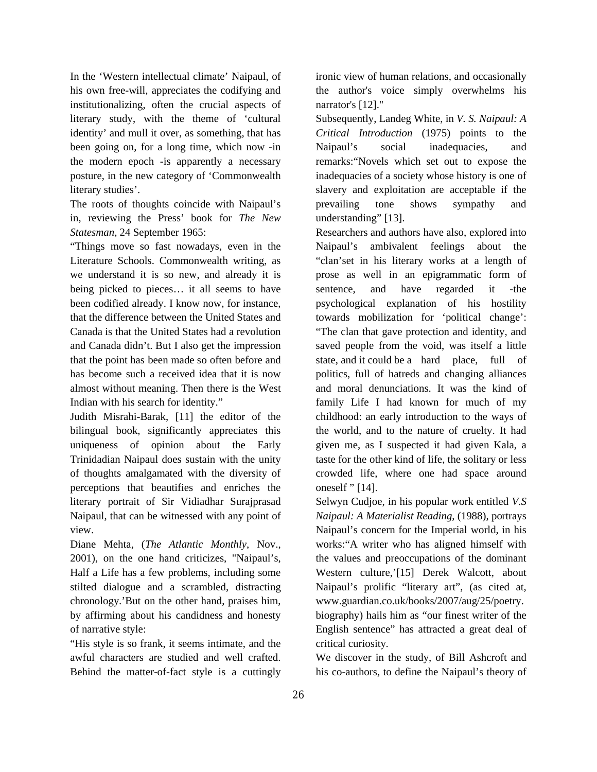In the 'Western intellectual climate' Naipaul, of his own free-will, appreciates the codifying and institutionalizing, often the crucial aspects of literary study, with the theme of 'cultural identity' and mull it over, as something, that has been going on, for a long time, which now -in the modern epoch -is apparently a necessary posture, in the new category of 'Commonwealth literary studies'.

The roots of thoughts coincide with Naipaul's in, reviewing the Press' book for *The New Statesman*, 24 September 1965:

"Things move so fast nowadays, even in the Literature Schools. Commonwealth writing, as we understand it is so new, and already it is being picked to pieces… it all seems to have been codified already. I know now, for instance, that the difference between the United States and Canada is that the United States had a revolution and Canada didn't. But I also get the impression that the point has been made so often before and has become such a received idea that it is now almost without meaning. Then there is the West Indian with his search for identity."

Judith Misrahi-Barak, [11] the editor of the bilingual book, significantly appreciates this uniqueness of opinion about the Early Trinidadian Naipaul does sustain with the unity of thoughts amalgamated with the diversity of perceptions that beautifies and enriches the literary portrait of Sir Vidiadhar Surajprasad Naipaul, that can be witnessed with any point of view.

Diane Mehta, (*The Atlantic Monthly*, Nov., 2001), on the one hand criticizes, "Naipaul's, Half a Life has a few problems, including some stilted dialogue and a scrambled, distracting chronology.'But on the other hand, praises him, by affirming about his candidness and honesty of narrative style:

"His style is so frank, it seems intimate, and the awful characters are studied and well crafted. Behind the matter-of-fact style is a cuttingly ironic view of human relations, and occasionally the author's voice simply overwhelms his narrator's [12]."

Subsequently, Landeg White, in *V. S. Naipaul: A Critical Introduction* (1975) points to the Naipaul's social inadequacies, and remarks:"Novels which set out to expose the inadequacies of a society whose history is one of slavery and exploitation are acceptable if the prevailing tone shows sympathy and understanding" [13].

Researchers and authors have also, explored into Naipaul's ambivalent feelings about the "clan'set in his literary works at a length of prose as well in an epigrammatic form of sentence, and have regarded it -the psychological explanation of his hostility towards mobilization for 'political change': "The clan that gave protection and identity, and saved people from the void, was itself a little state, and it could be a hard place, full of politics, full of hatreds and changing alliances and moral denunciations. It was the kind of family Life I had known for much of my childhood: an early introduction to the ways of the world, and to the nature of cruelty. It had given me, as I suspected it had given Kala, a taste for the other kind of life, the solitary or less crowded life, where one had space around oneself " [14].

Selwyn Cudjoe, in his popular work entitled *V.S Naipaul: A Materialist Reading*, (1988), portrays Naipaul's concern for the Imperial world, in his works:"A writer who has aligned himself with the values and preoccupations of the dominant Western culture,'[15] Derek Walcott, about Naipaul's prolific "literary art", (as cited at, www.guardian.co.uk/books/2007/aug/25/poetry. biography) hails him as "our finest writer of the English sentence" has attracted a great deal of critical curiosity.

We discover in the study, of Bill Ashcroft and his co-authors, to define the Naipaul's theory of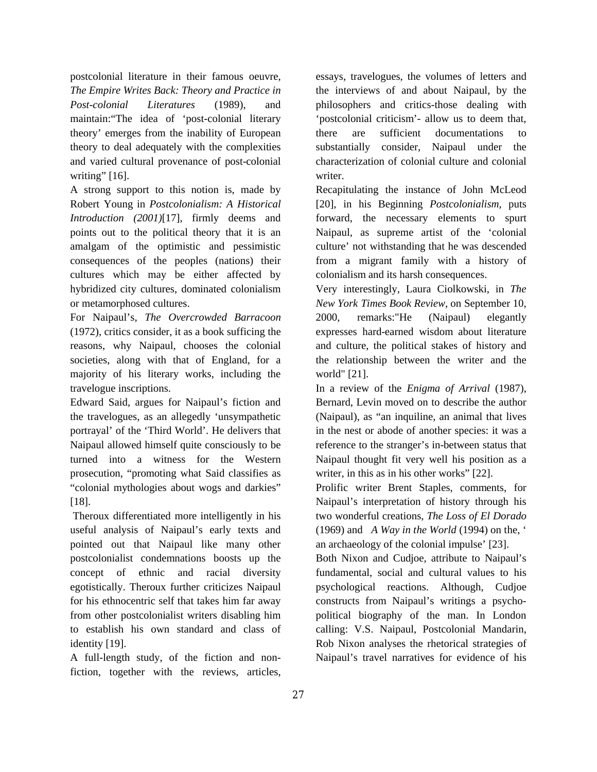postcolonial literature in their famous oeuvre, *The Empire Writes Back: Theory and Practice in Post-colonial Literatures* (1989), and maintain:"The idea of 'post-colonial literary theory' emerges from the inability of European theory to deal adequately with the complexities and varied cultural provenance of post-colonial writing" [16].

A strong support to this notion is, made by Robert Young in *Postcolonialism: A Historical Introduction (2001)*[17], firmly deems and points out to the political theory that it is an amalgam of the optimistic and pessimistic consequences of the peoples (nations) their cultures which may be either affected by hybridized city cultures, dominated colonialism or metamorphosed cultures.

For Naipaul's, *The Overcrowded Barracoon* (1972), critics consider, it as a book sufficing the reasons, why Naipaul, chooses the colonial societies, along with that of England, for a majority of his literary works, including the travelogue inscriptions.

Edward Said, argues for Naipaul's fiction and the travelogues, as an allegedly 'unsympathetic portrayal' of the 'Third World'. He delivers that Naipaul allowed himself quite consciously to be turned into a witness for the Western prosecution, "promoting what Said classifies as "colonial mythologies about wogs and darkies" [18].

Theroux differentiated more intelligently in his useful analysis of Naipaul's early texts and pointed out that Naipaul like many other postcolonialist condemnations boosts up the concept of ethnic and racial diversity egotistically. Theroux further criticizes Naipaul for his ethnocentric self that takes him far away from other postcolonialist writers disabling him to establish his own standard and class of identity [19].

A full-length study, of the fiction and nonfiction, together with the reviews, articles, essays, travelogues, the volumes of letters and the interviews of and about Naipaul, by the philosophers and critics-those dealing with 'postcolonial criticism'- allow us to deem that, there are sufficient documentations to substantially consider, Naipaul under the characterization of colonial culture and colonial writer.

Recapitulating the instance of John McLeod [20], in his Beginning *Postcolonialism*, puts forward, the necessary elements to spurt Naipaul, as supreme artist of the 'colonial culture' not withstanding that he was descended from a migrant family with a history of colonialism and its harsh consequences.

Very interestingly, Laura Ciolkowski, in *The New York Times Book Review*, on September 10, 2000, remarks:"He (Naipaul) elegantly expresses hard-earned wisdom about literature and culture, the political stakes of history and the relationship between the writer and the world" [21].

In a review of the *Enigma of Arrival* (1987), Bernard, Levin moved on to describe the author (Naipaul), as "an inquiline, an animal that lives in the nest or abode of another species: it was a reference to the stranger's in-between status that Naipaul thought fit very well his position as a writer, in this as in his other works" [22].

Prolific writer Brent Staples, comments, for Naipaul's interpretation of history through his two wonderful creations, *The Loss of El Dorado* (1969) and *A Way in the World* (1994) on the, ' an archaeology of the colonial impulse' [23].

Both Nixon and Cudjoe, attribute to Naipaul's fundamental, social and cultural values to his psychological reactions. Although, Cudjoe constructs from Naipaul's writings a psychopolitical biography of the man. In London calling: V.S. Naipaul, Postcolonial Mandarin, Rob Nixon analyses the rhetorical strategies of Naipaul's travel narratives for evidence of his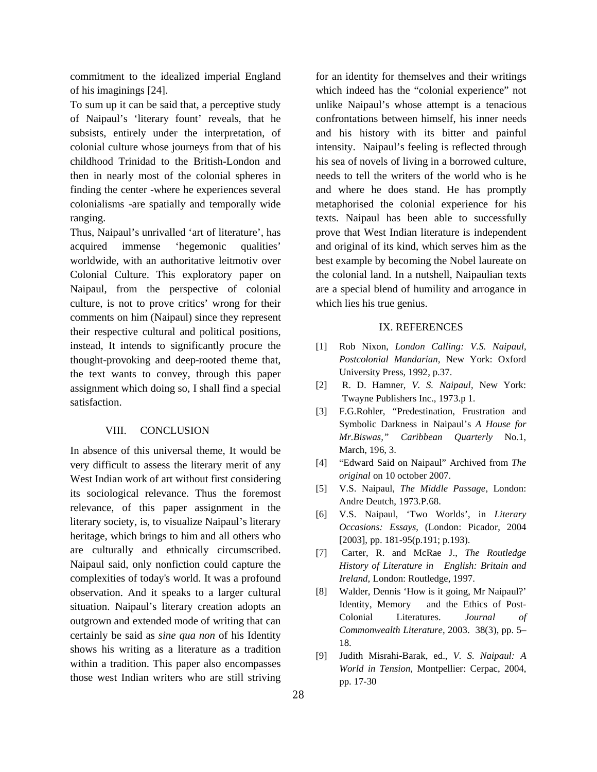commitment to the idealized imperial England of his imaginings [24].

To sum up it can be said that, a perceptive study of Naipaul's 'literary fount' reveals, that he subsists, entirely under the interpretation, of colonial culture whose journeys from that of his childhood Trinidad to the British-London and then in nearly most of the colonial spheres in finding the center -where he experiences several colonialisms -are spatially and temporally wide ranging.

Thus, Naipaul's unrivalled 'art of literature', has acquired immense 'hegemonic qualities' worldwide, with an authoritative leitmotiv over Colonial Culture. This exploratory paper on Naipaul, from the perspective of colonial culture, is not to prove critics' wrong for their comments on him (Naipaul) since they represent their respective cultural and political positions, instead, It intends to significantly procure the thought-provoking and deep-rooted theme that, the text wants to convey, through this paper assignment which doing so, I shall find a special satisfaction.

#### VIII. CONCLUSION

In absence of this universal theme, It would be very difficult to assess the literary merit of any West Indian work of art without first considering its sociological relevance. Thus the foremost relevance, of this paper assignment in the literary society, is, to visualize Naipaul's literary heritage, which brings to him and all others who are culturally and ethnically circumscribed. Naipaul said, only nonfiction could capture the complexities of today's world. It was a profound observation. And it speaks to a larger cultural situation. Naipaul's literary creation adopts an outgrown and extended mode of writing that can certainly be said as *sine qua non* of his Identity shows his writing as a literature as a tradition within a tradition. This paper also encompasses those west Indian writers who are still striving

for an identity for themselves and their writings which indeed has the "colonial experience" not unlike Naipaul's whose attempt is a tenacious confrontations between himself, his inner needs and his history with its bitter and painful intensity. Naipaul's feeling is reflected through his sea of novels of living in a borrowed culture, needs to tell the writers of the world who is he and where he does stand. He has promptly metaphorised the colonial experience for his texts. Naipaul has been able to successfully prove that West Indian literature is independent and original of its kind, which serves him as the best example by becoming the Nobel laureate on the colonial land. In a nutshell, Naipaulian texts are a special blend of humility and arrogance in which lies his true genius.

#### IX. REFERENCES

- [1] Rob Nixon, *London Calling: V.S. Naipaul, Postcolonial Mandarian,* New York: Oxford University Press, 1992, p.37.
- [2] R. D. Hamner, *V. S. Naipaul*, New York: Twayne Publishers Inc., 1973.p 1.
- [3] F.G.Rohler, "Predestination, Frustration and Symbolic Darkness in Naipaul's *A House for Mr.Biswas," Caribbean Quarterly* No.1, March, 196, 3.
- [4] "Edward Said on Naipaul" Archived from *The original* on 10 october 2007.
- [5] V.S. Naipaul, *The Middle Passage*, London: Andre Deutch, 1973.P.68.
- [6] V.S. Naipaul, 'Two Worlds', in *Literary Occasions: Essays*, (London: Picador, 2004 [2003], pp. 181-95(p.191; p.193).
- [7] Carter, R. and McRae J., *The Routledge History of Literature in English: Britain and Ireland,* London: Routledge, 1997.
- [8] Walder, Dennis 'How is it going, Mr Naipaul?' Identity, Memory and the Ethics of Post-Colonial Literatures. *Journal of Commonwealth Literature*, 2003. 38(3), pp. 5– 18.
- [9] Judith Misrahi-Barak, ed., *V. S. Naipaul: A World in Tension*, Montpellier: Cerpac, 2004, pp. 17-30